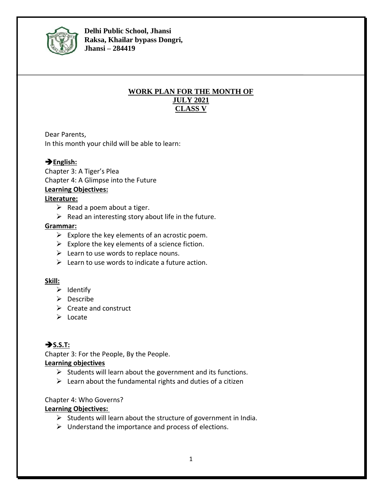

**Delhi Public School, Jhansi Raksa, Khailar bypass Dongri, Jhansi – 284419**

### **WORK PLAN FOR THE MONTH OF JULY 2021 CLASS V**

Dear Parents,

In this month your child will be able to learn:

## ➔**English:**

Chapter 3: A Tiger's Plea Chapter 4: A Glimpse into the Future

#### **Learning Objectives:**

#### **Literature:**

- $\triangleright$  Read a poem about a tiger.
- $\triangleright$  Read an interesting story about life in the future.

#### **Grammar:**

- $\triangleright$  Explore the key elements of an acrostic poem.
- $\triangleright$  Explore the key elements of a science fiction.
- $\triangleright$  Learn to use words to replace nouns.
- $\triangleright$  Learn to use words to indicate a future action.

#### **Skill:**

- ➢ Identify
- ➢ Describe
- $\triangleright$  Create and construct
- ➢ Locate

# ➔**S.S.T:**

Chapter 3: For the People, By the People.

#### **Learning objectives**

- $\triangleright$  Students will learn about the government and its functions.
- $\triangleright$  Learn about the fundamental rights and duties of a citizen

Chapter 4: Who Governs?

#### **Learning Objectives:**

- $\triangleright$  Students will learn about the structure of government in India.
- $\triangleright$  Understand the importance and process of elections.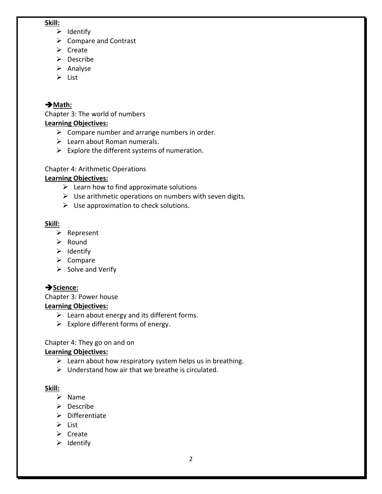#### **Skill:**

- ➢ Identify
- ➢ Compare and Contrast
- ➢ Create
- ➢ Describe
- ➢ Analyse
- ➢ List

# ➔**Math:**

Chapter 3: The world of numbers **Learning Objectives:**

- $\triangleright$  Compare number and arrange numbers in order.
- $\triangleright$  Learn about Roman numerals.
- $\triangleright$  Explore the different systems of numeration.

## Chapter 4: Arithmetic Operations

# **Learning Objectives:**

- $\triangleright$  Learn how to find approximate solutions
- $\triangleright$  Use arithmetic operations on numbers with seven digits.
- $\triangleright$  Use approximation to check solutions.

## **Skill:**

- ➢ Represent
- ➢ Round
- ➢ Identify
- ➢ Compare
- $\triangleright$  Solve and Verify

# ➔**Science:**

Chapter 3: Power house **Learning Objectives:**

- $\triangleright$  Learn about energy and its different forms.
- $\triangleright$  Explore different forms of energy.

## Chapter 4: They go on and on

# **Learning Objectives:**

- $\triangleright$  Learn about how respiratory system helps us in breathing.
- $\triangleright$  Understand how air that we breathe is circulated.

# **Skill:**

- ➢ Name
- ➢ Describe
- ➢ Differentiate
- ➢ List
- ➢ Create
- ➢ Identify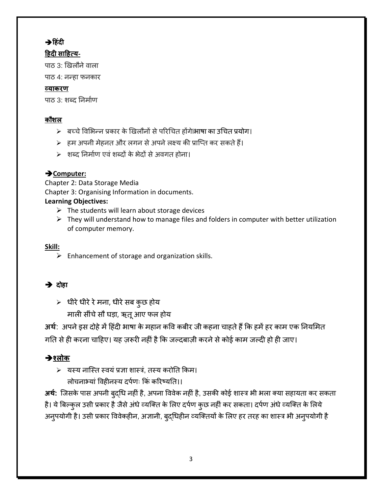# ➔**ह िंदी**

# **ह दी साह त्य-**

पाठ 3: खिलौने वाला

पाठ 4: नन्हा फनकार

# **व्याकरण**

पाठ 3: शब्द निर्माण

# **कौशल**

- $>$  बच्चे विभिन्न प्रकार के खिलौनों से परिचित होंगे।भाषा का उचित प्रयोग।
- $\triangleright$  हम अपनी मेहनत और लगन से अपने लक्ष्य की प्राप्ति कर सकते हैं।
- $>$  शब्द निर्माण एवं शब्दों के भेदों से अवगत होना।

# ➔**Computer:**

Chapter 2: Data Storage Media Chapter 3: Organising Information in documents. **Learning Objectives:**

- $\triangleright$  The students will learn about storage devices
- $\triangleright$  They will understand how to manage files and folders in computer with better utilization of computer memory.

# **Skill:**

 $\triangleright$  Enhancement of storage and organization skills.

# $\rightarrow$  दोहा

 $>$  धीरे धीरे रे मना, धीरे सब कुछ होय माली सींचे सौ घड़ा, ऋतू आए फल होय

**अर्थ**: अपने इस दोहे में हिंदी भाषा के महान कवि कबीर जी कहना चाहते हैं कि हमें हर काम एक नियमित गति से ही करना चाहिए। यह ज़रूरी नहीं है कि जल्दबाज़ी करने से कोई काम जल्दी हो ही जाए।

# ➔**श्लोक**

➢ यस्य नाप्स्त स्वयंप्रज्ञा शास्रं, तस्य करोनत ककर्। लोचनाभ्यां विहीनस्य दर्पणः किं करिष्यति।।

**अर्थ:** प्जसके पास अपनी बुद्चध नहीं है, अपना वववेक नहीं है, उसकी कोई शास्र िी िला क्या सहायता कर सकता है। ये बिल्कुल उसी प्रकार है जैसे अंधे व्यक्ति के लिए दर्पण कुछ नहीं कर सकता। दर्पण अंधे व्यक्ति के लिये अनुपयोगी है। उसी प्रकार विवेकहीन, अज्ञानी, बुद्धिहीन व्यक्तियों के लिए हर तरह का शास्त्र भी अनुपयोगी है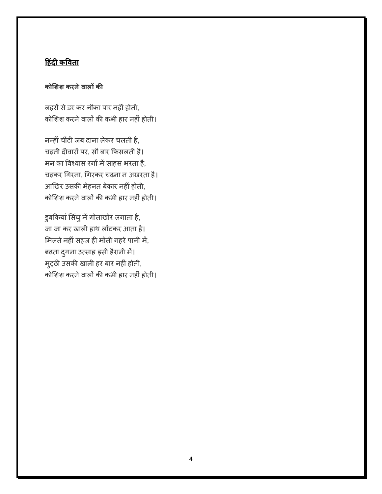# **ह िंदी कविता**

# **कोशशश करनेिालों की**

लहरों सेडर कर नौका पार नहीं होती, कोशिश करने वालों की कभी हार नहीं होती।

नन्हींचींटी जब दाना लेकर चलती है, चढ़ती दीवारों पर, सौ बार कफसलती है। मन का विश्वास रगों में साहस भरता है, चढ़कर गिरना, गिरकर चढ़ना न अखरता है। आख़िर उसकी र्ेहनत बेकार नहीं होती, कोशिश करने वालों की कभी हार नहीं होती।

डुबकियां सिंधु में गोताखोर लगाता है, जा जा कर खाली हाथ लौटकर आता है। मिलते नहीं सहज ही मोती गहरे पानी में, बढ़ता दुगना उत्साह इसी हैरानी में। म्ट्ठी उसकी खाली हर बार नहीं होती, कोशिश करने वालों की कभी हार नहीं होती।